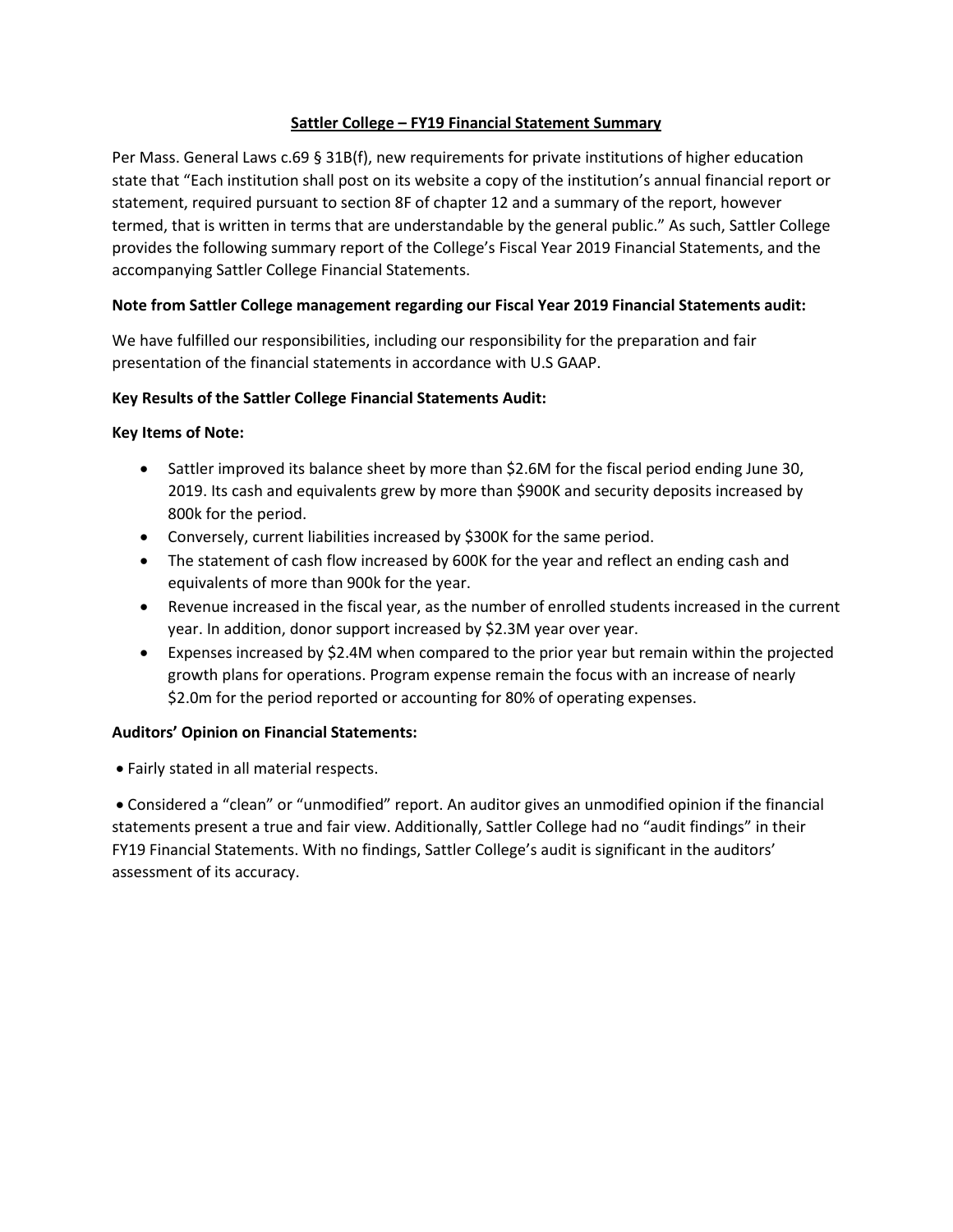### **Sattler College – FY19 Financial Statement Summary**

Per Mass. General Laws c.69 § 31B(f), new requirements for private institutions of higher education state that "Each institution shall post on its website a copy of the institution's annual financial report or statement, required pursuant to section 8F of chapter 12 and a summary of the report, however termed, that is written in terms that are understandable by the general public." As such, Sattler College provides the following summary report of the College's Fiscal Year 2019 Financial Statements, and the accompanying Sattler College Financial Statements.

### **Note from Sattler College management regarding our Fiscal Year 2019 Financial Statements audit:**

We have fulfilled our responsibilities, including our responsibility for the preparation and fair presentation of the financial statements in accordance with U.S GAAP.

### **Key Results of the Sattler College Financial Statements Audit:**

### **Key Items of Note:**

- Sattler improved its balance sheet by more than \$2.6M for the fiscal period ending June 30, 2019. Its cash and equivalents grew by more than \$900K and security deposits increased by 800k for the period.
- Conversely, current liabilities increased by \$300K for the same period.
- The statement of cash flow increased by 600K for the year and reflect an ending cash and equivalents of more than 900k for the year.
- Revenue increased in the fiscal year, as the number of enrolled students increased in the current year. In addition, donor support increased by \$2.3M year over year.
- Expenses increased by \$2.4M when compared to the prior year but remain within the projected growth plans for operations. Program expense remain the focus with an increase of nearly \$2.0m for the period reported or accounting for 80% of operating expenses.

### **Auditors' Opinion on Financial Statements:**

• Fairly stated in all material respects.

• Considered a "clean" or "unmodified" report. An auditor gives an unmodified opinion if the financial statements present a true and fair view. Additionally, Sattler College had no "audit findings" in their FY19 Financial Statements. With no findings, Sattler College's audit is significant in the auditors' assessment of its accuracy.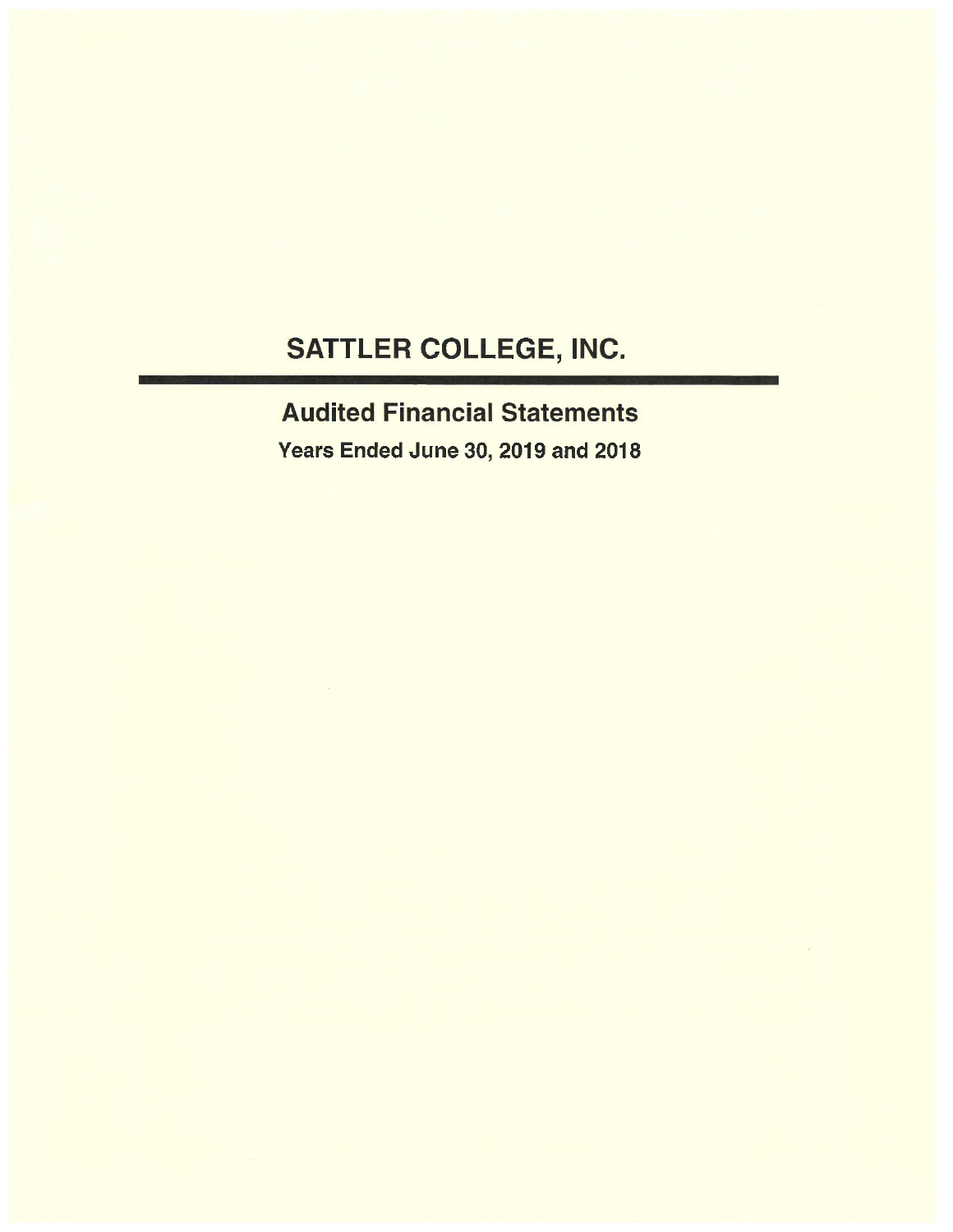# SATTLER COLLEGE, INC.

**Audited Financial Statements** Years Ended June 30, 2019 and 2018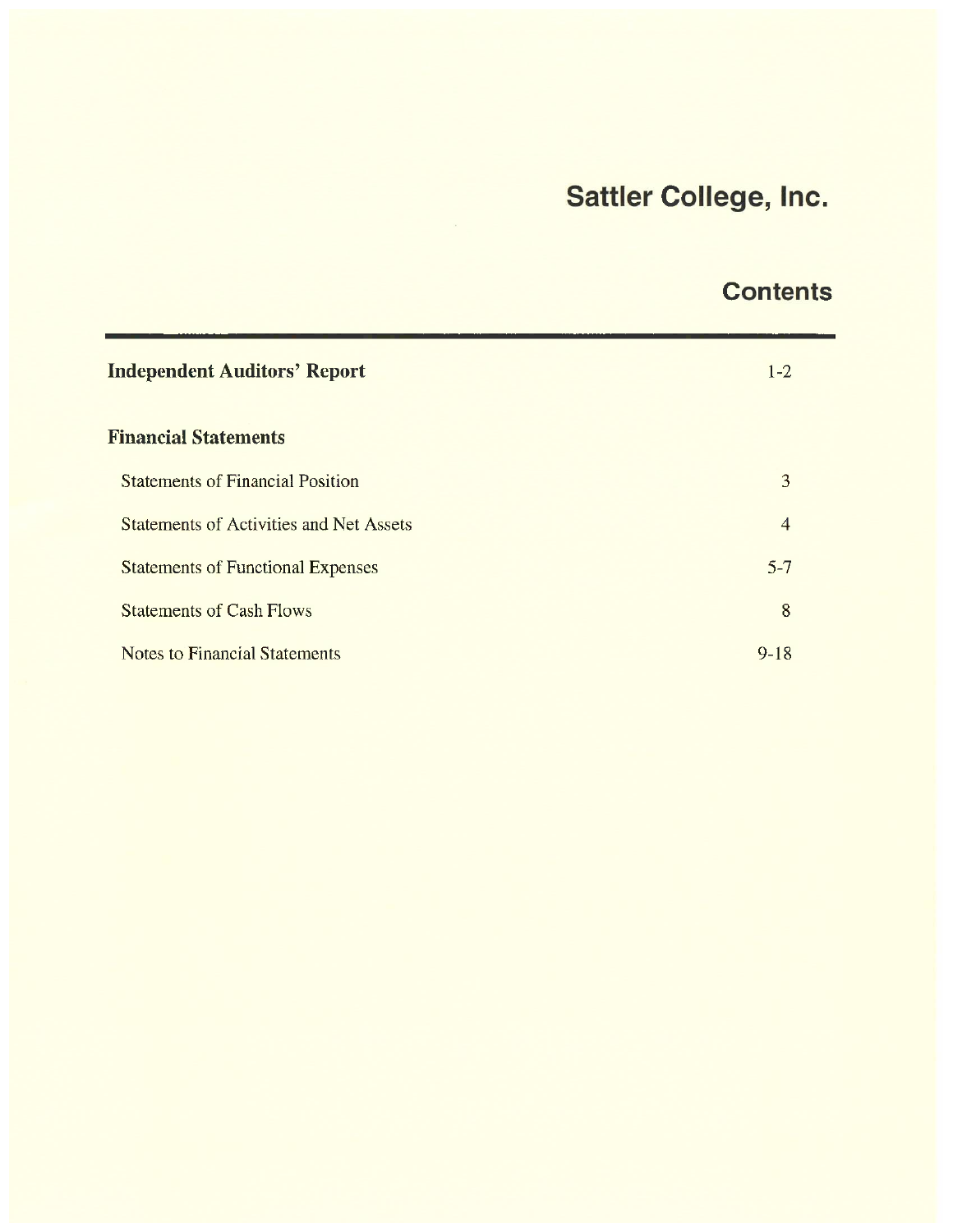# **Contents**

| <b>Independent Auditors' Report</b>            | $1 - 2$        |
|------------------------------------------------|----------------|
| <b>Financial Statements</b>                    |                |
| <b>Statements of Financial Position</b>        | 3              |
| <b>Statements of Activities and Net Assets</b> | $\overline{4}$ |
| <b>Statements of Functional Expenses</b>       | $5 - 7$        |
| <b>Statements of Cash Flows</b>                | 8              |
| <b>Notes to Financial Statements</b>           | $9 - 18$       |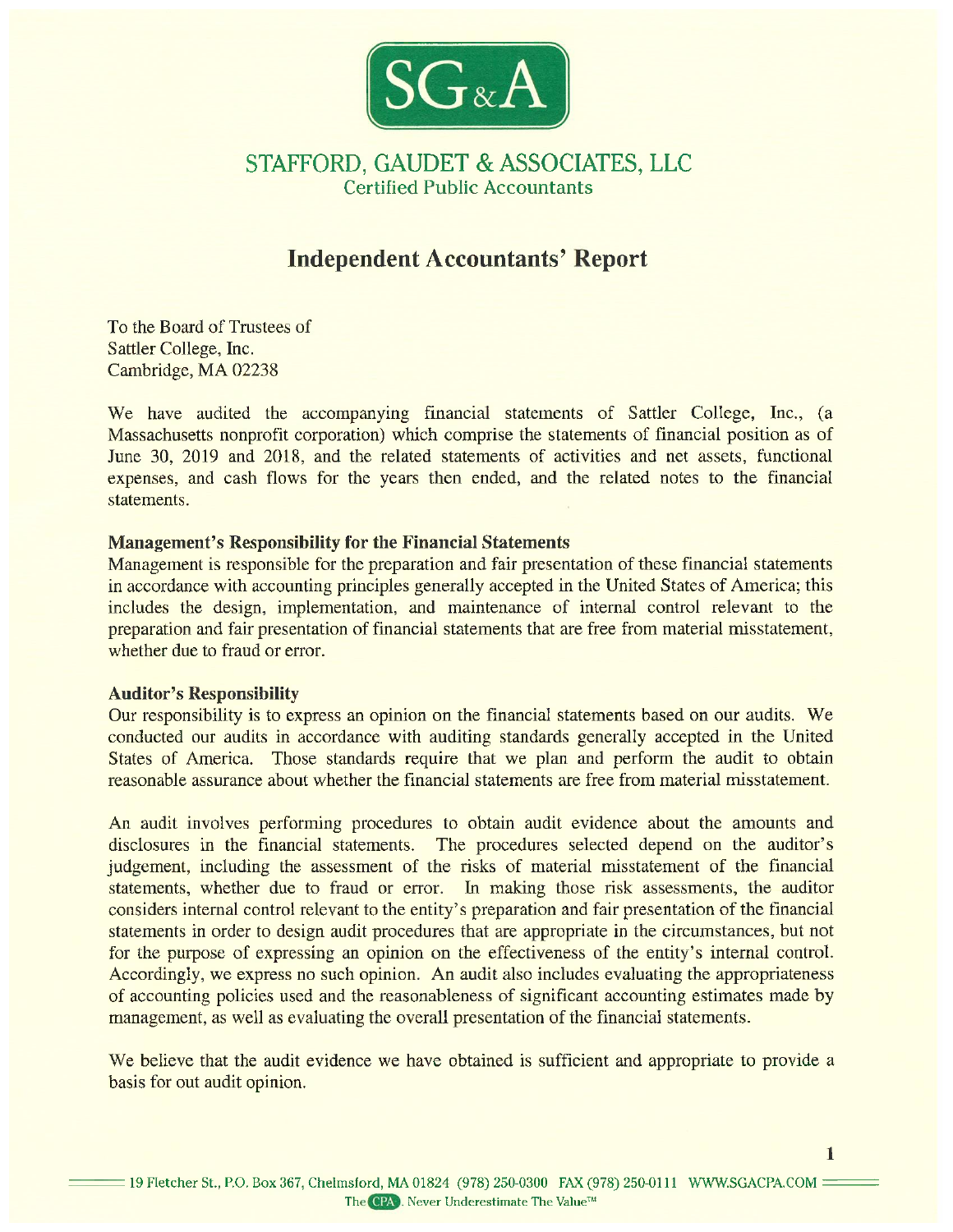

### STAFFORD. GAUDET & ASSOCIATES, LLC **Certified Public Accountants**

## **Independent Accountants' Report**

To the Board of Trustees of Sattler College, Inc. Cambridge, MA 02238

We have audited the accompanying financial statements of Sattler College, Inc., (a Massachusetts nonprofit corporation) which comprise the statements of financial position as of June 30, 2019 and 2018, and the related statements of activities and net assets, functional expenses, and cash flows for the years then ended, and the related notes to the financial statements.

### **Management's Responsibility for the Financial Statements**

Management is responsible for the preparation and fair presentation of these financial statements in accordance with accounting principles generally accepted in the United States of America; this includes the design, implementation, and maintenance of internal control relevant to the preparation and fair presentation of financial statements that are free from material misstatement, whether due to fraud or error.

### **Auditor's Responsibility**

Our responsibility is to express an opinion on the financial statements based on our audits. We conducted our audits in accordance with auditing standards generally accepted in the United States of America. Those standards require that we plan and perform the audit to obtain reasonable assurance about whether the financial statements are free from material misstatement.

An audit involves performing procedures to obtain audit evidence about the amounts and disclosures in the financial statements. The procedures selected depend on the auditor's judgement, including the assessment of the risks of material misstatement of the financial statements, whether due to fraud or error. In making those risk assessments, the auditor considers internal control relevant to the entity's preparation and fair presentation of the financial statements in order to design audit procedures that are appropriate in the circumstances, but not for the purpose of expressing an opinion on the effectiveness of the entity's internal control. Accordingly, we express no such opinion. An audit also includes evaluating the appropriateness of accounting policies used and the reasonableness of significant accounting estimates made by management, as well as evaluating the overall presentation of the financial statements.

We believe that the audit evidence we have obtained is sufficient and appropriate to provide a basis for out audit opinion.

 $\mathbf{1}$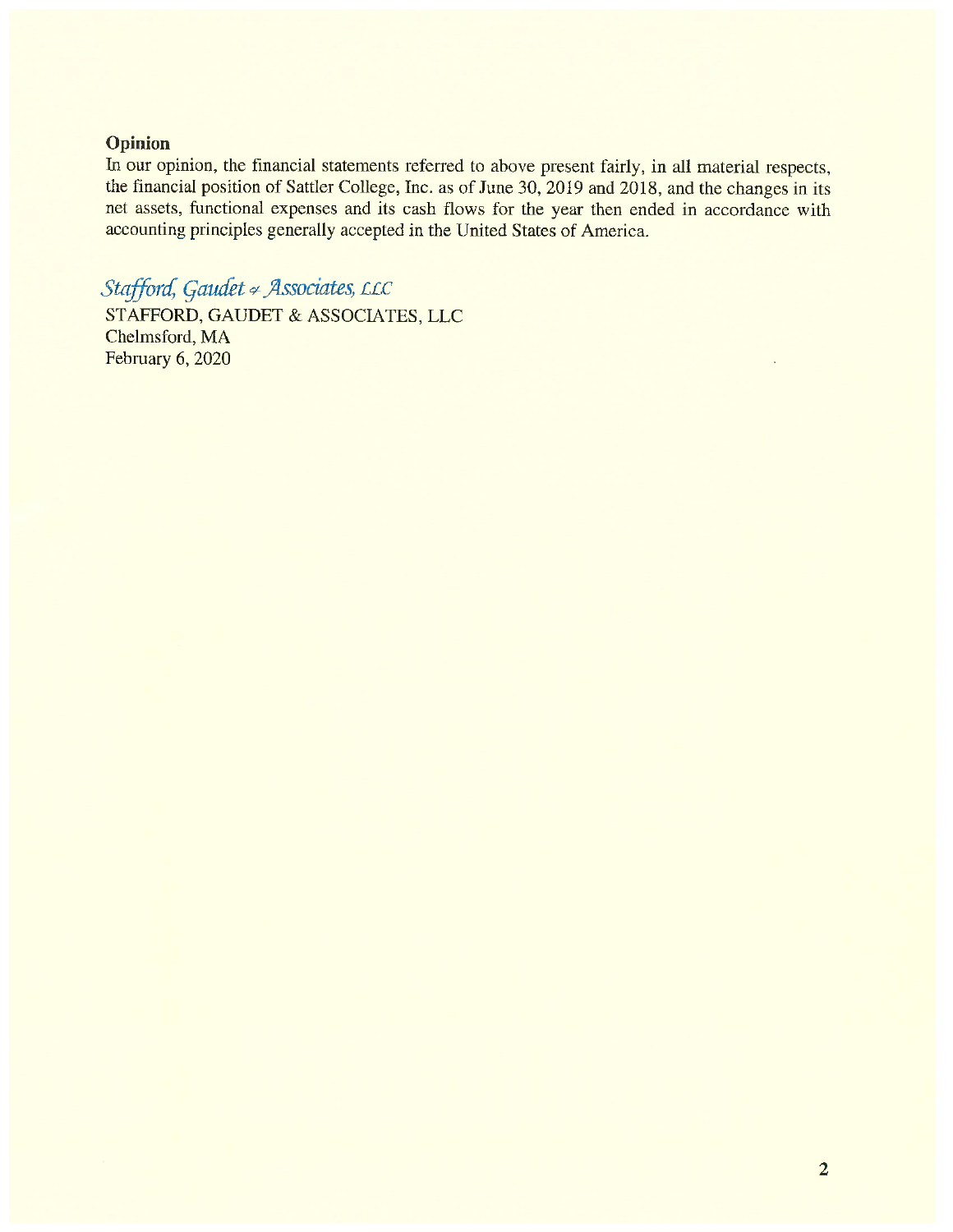### Opinion

In our opinion, the financial statements referred to above present fairly, in all material respects, the financial position of Sattler College, Inc. as of June 30, 2019 and 2018, and the changes in its net assets, functional expenses and its cash flows for the year then ended in accordance with accounting principles generally accepted in the United States of America.

Stafford, Gaudet & Associates, LLC

STAFFORD, GAUDET & ASSOCIATES, LLC Chelmsford, MA February 6, 2020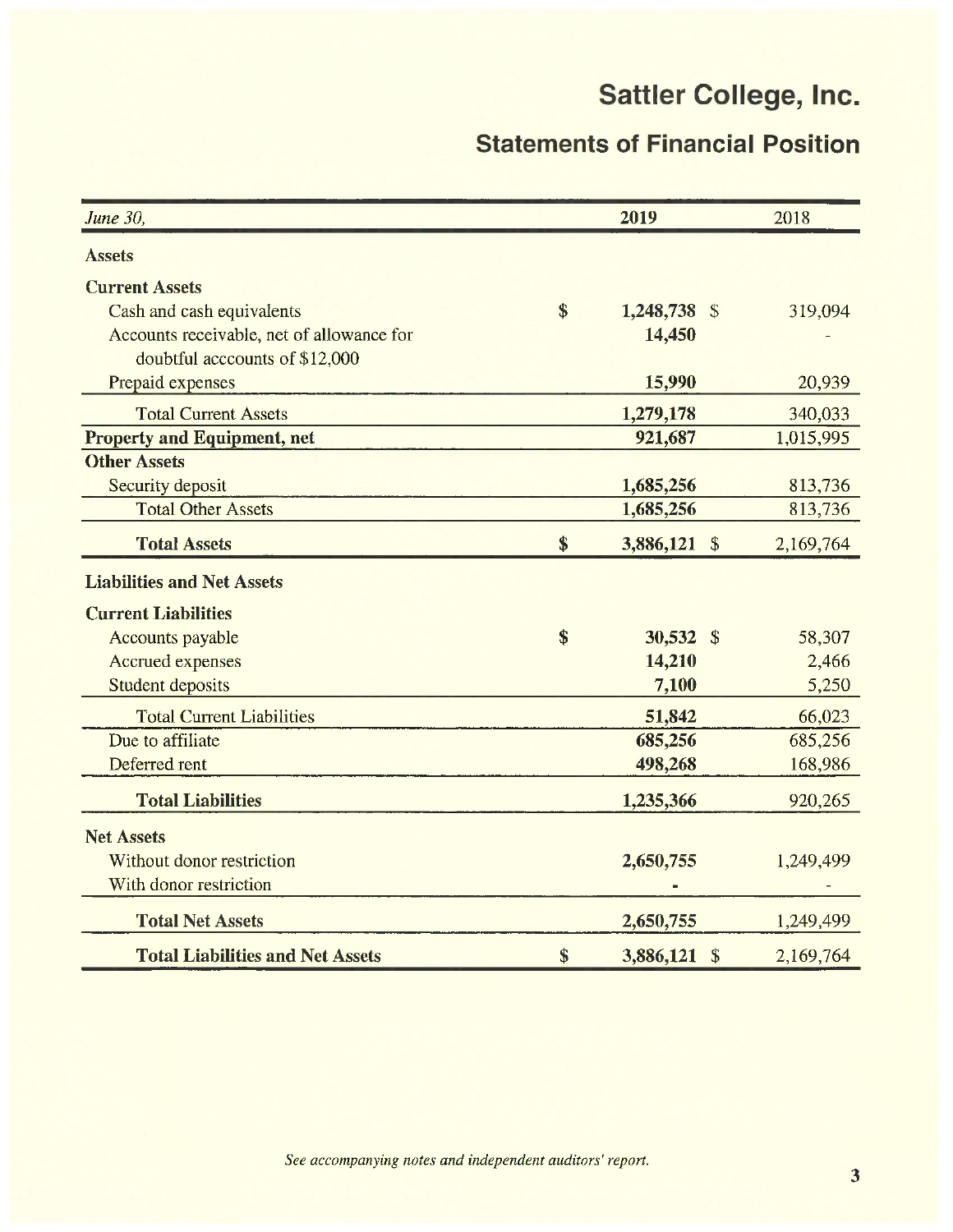# **Statements of Financial Position**

| June 30,                                  | 2019                                  | 2018      |
|-------------------------------------------|---------------------------------------|-----------|
| <b>Assets</b>                             |                                       |           |
| <b>Current Assets</b>                     |                                       |           |
| Cash and cash equivalents                 | \$<br>1,248,738 \$                    | 319,094   |
| Accounts receivable, net of allowance for | 14,450                                |           |
| doubtful acccounts of \$12,000            |                                       |           |
| Prepaid expenses                          | 15,990                                | 20,939    |
| <b>Total Current Assets</b>               | 1,279,178                             | 340,033   |
| <b>Property and Equipment, net</b>        | 921,687                               | 1,015,995 |
| <b>Other Assets</b>                       |                                       |           |
| <b>Security deposit</b>                   | 1,685,256                             | 813,736   |
| <b>Total Other Assets</b>                 | 1,685,256                             | 813,736   |
| <b>Total Assets</b>                       | \$<br>3,886,121<br>$\mathcal{S}$      | 2,169,764 |
| <b>Liabilities and Net Assets</b>         |                                       |           |
| <b>Current Liabilities</b>                |                                       |           |
| Accounts payable                          | \$<br>$30,532$ \$                     | 58,307    |
| <b>Accrued expenses</b>                   | 14,210                                | 2,466     |
| <b>Student deposits</b>                   | 7,100                                 | 5,250     |
| <b>Total Current Liabilities</b>          | 51,842                                | 66,023    |
| Due to affiliate                          | 685,256                               | 685,256   |
| Deferred rent                             | 498,268                               | 168,986   |
| <b>Total Liabilities</b>                  | 1,235,366                             | 920,265   |
| <b>Net Assets</b>                         |                                       |           |
| Without donor restriction                 | 2,650,755                             | 1,249,499 |
| With donor restriction                    |                                       |           |
| <b>Total Net Assets</b>                   | 2,650,755                             | 1,249,499 |
| <b>Total Liabilities and Net Assets</b>   | \$<br>3,886,121<br>$\mathbf{\hat{s}}$ | 2,169,764 |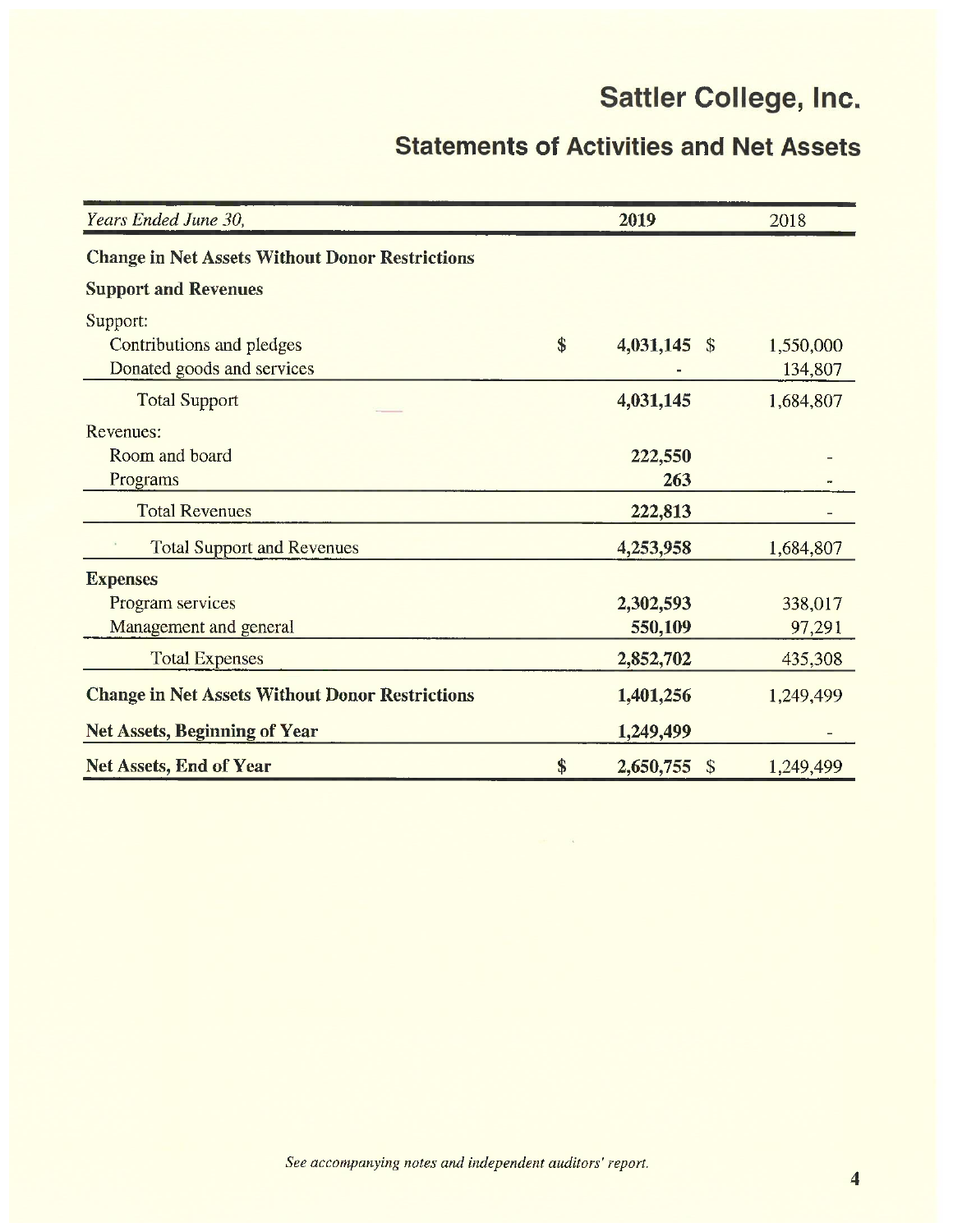# **Statements of Activities and Net Assets**

| Years Ended June 30,                                   | 2019                             | 2018      |
|--------------------------------------------------------|----------------------------------|-----------|
| <b>Change in Net Assets Without Donor Restrictions</b> |                                  |           |
| <b>Support and Revenues</b>                            |                                  |           |
| Support:                                               |                                  |           |
| Contributions and pledges                              | \$<br>4,031,145<br>$\mathcal{S}$ | 1,550,000 |
| Donated goods and services                             |                                  | 134,807   |
| <b>Total Support</b>                                   | 4,031,145                        | 1,684,807 |
| Revenues:                                              |                                  |           |
| Room and board                                         | 222,550                          |           |
| Programs                                               | 263                              |           |
| <b>Total Revenues</b>                                  | 222,813                          |           |
| <b>Total Support and Revenues</b>                      | 4,253,958                        | 1,684,807 |
| <b>Expenses</b>                                        |                                  |           |
| Program services                                       | 2,302,593                        | 338,017   |
| Management and general                                 | 550,109                          | 97,291    |
| <b>Total Expenses</b>                                  | 2,852,702                        | 435,308   |
| <b>Change in Net Assets Without Donor Restrictions</b> | 1,401,256                        | 1,249,499 |
| <b>Net Assets, Beginning of Year</b>                   | 1,249,499                        |           |
| <b>Net Assets, End of Year</b>                         | \$<br>2,650,755<br>$\mathcal{S}$ | 1,249,499 |

 $\sim$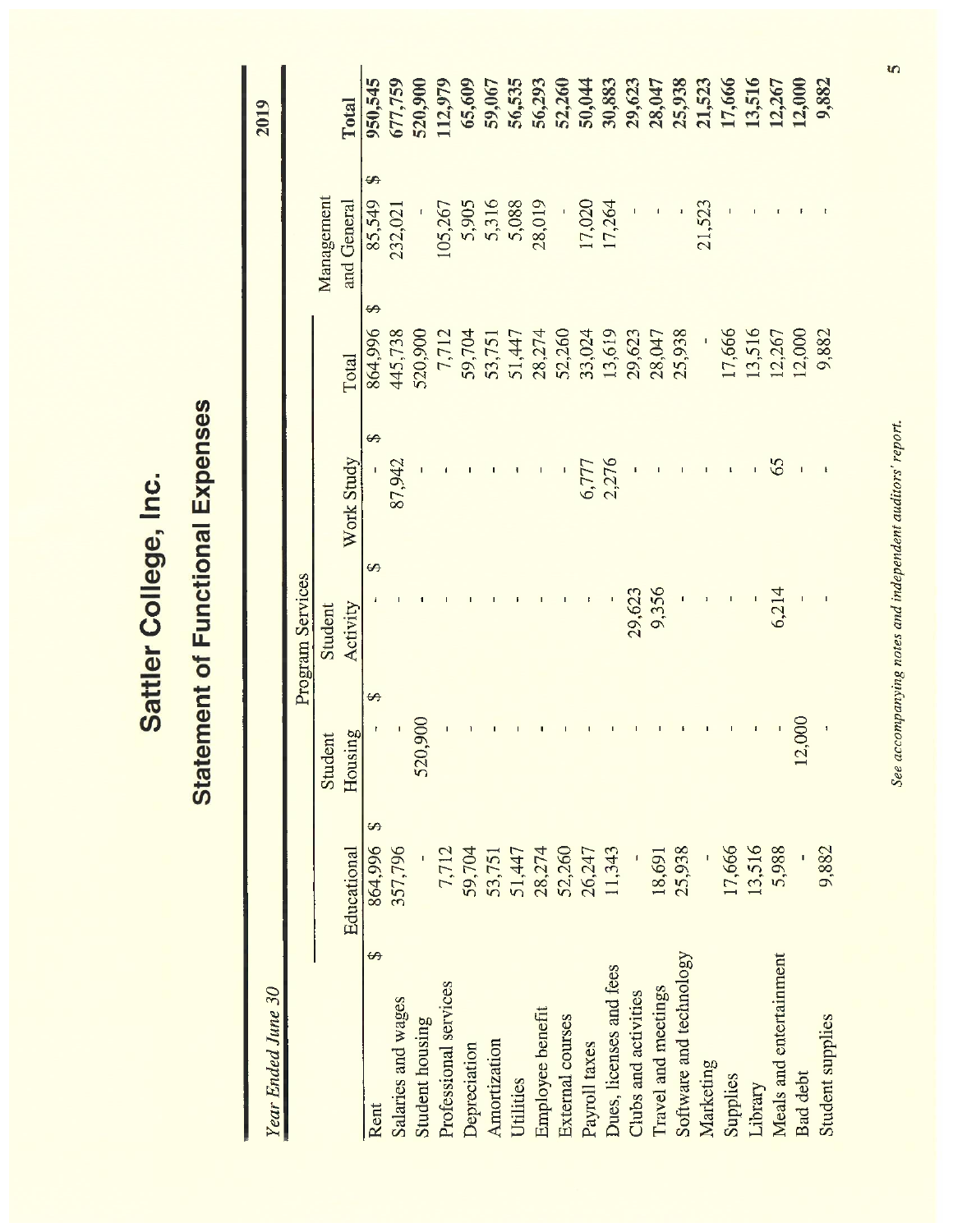# **Statement of Functional Expenses**

2019

Year Ended June 30

|                         |                      |          | <b>Program Services</b> |            |              |             |         |
|-------------------------|----------------------|----------|-------------------------|------------|--------------|-------------|---------|
|                         |                      | Student  | Student                 |            |              | Management  |         |
|                         | Educational          | Housing  | Activity                | Work Study | Total        | and General | Total   |
| 5<br>Rent               | $\bullet$<br>864,996 | $\Theta$ | $\rightarrow$           | S          | S<br>864,996 | ₩<br>85,549 | 950,545 |
| Salaries and wages      | 357,796              |          |                         | 87,942     | 445,738      | 232,021     | 677,759 |
| Student housing         |                      | 52       |                         |            | 520,900      |             | 520,900 |
| Professional services   | 7,712                |          |                         |            | 7,712        | 105,267     | 12,979  |
| Depreciation            | 59,704               |          |                         |            | 59,704       | 5,905       | 65,609  |
| Amortization            | 53,751               |          |                         |            | 53,751       | 5,316       | 59,067  |
| Utilities               | 51,447               |          |                         |            | 51,447       | 5,088       | 56,535  |
| Employee benefit        | 28,274               |          |                         |            | 28,274       | 28,019      | 56,293  |
| External courses        | 52,260               |          |                         |            | 52,260       |             | 52,260  |
| Payroll taxes           | 26,247               |          |                         | 6,777      | 33,024       | 17,020      | 50,044  |
| Dues, licenses and fees | 11,343               |          |                         | 2,276      | 13,619       | 17,264      | 30,883  |
| Clubs and activities    |                      |          | 29,623                  |            | 29,623       |             | 29,623  |
| Travel and meetings     | 18,691               |          | 9,356                   |            | 28,047       |             | 28,047  |
| Software and technology | 25,938               |          |                         |            | 25,938       |             | 25,938  |
| Marketing               |                      |          |                         |            |              | 21,523      | 21,523  |
| Supplies                | 17,666               |          |                         |            | 17,666       |             | 17,666  |
| Library                 | 13,516               |          |                         |            | 13,516       |             | 13,516  |
| Meals and entertainment | 5,988                |          | 6,214                   | 65         | 12,267       |             | 12,267  |
| <b>Bad</b> debt         |                      |          |                         |            | 12,000       |             | 12,000  |
| <b>Student supplies</b> | 9,882                |          |                         |            | 9,882        |             | 9,882   |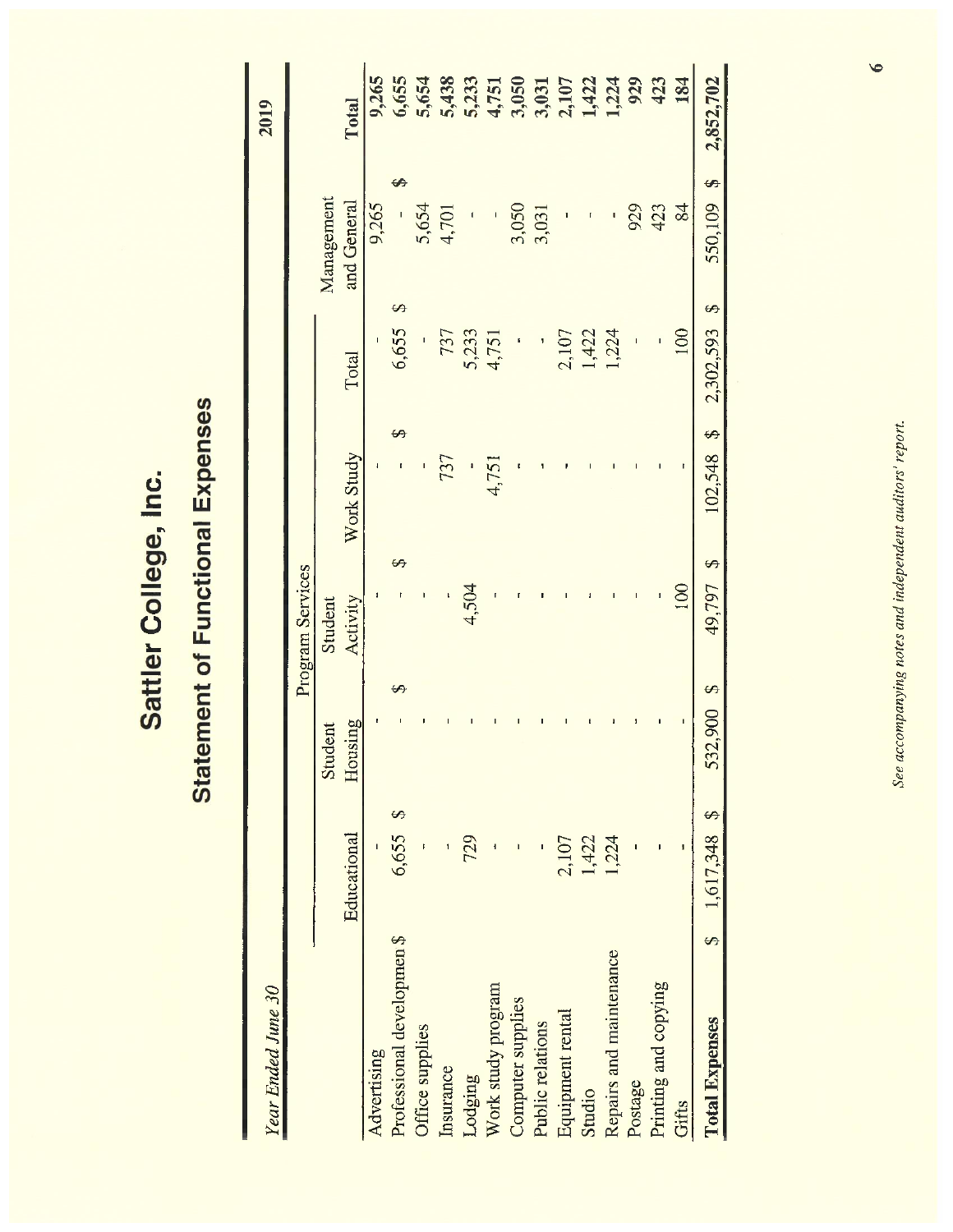# **Statement of Functional Expenses**

2019

Year Ended June 30

|                                       |                  |               | <b>Program Services</b> |            |            |              |             |           |
|---------------------------------------|------------------|---------------|-------------------------|------------|------------|--------------|-------------|-----------|
|                                       |                  | Student       | Student                 |            |            |              | Management  |           |
|                                       | Educational      | asing<br>Hou  | Activity                | Work Study |            | Total        | and General | Total     |
| Advertising                           |                  |               |                         |            |            |              | 9,265       | 9,265     |
| Professional developmen <sup>\$</sup> | $6,655$ \$       |               |                         |            |            | 6,655        |             | 6,655     |
| Office supplies                       |                  |               |                         |            |            |              | 5,654       | 5,654     |
| Insurance                             | 1                |               |                         |            | 737        | 737          | 4,701       | 5,438     |
| Lodging                               | 729              |               | 4.504                   |            |            | 5,233        |             | 5,233     |
| Work study program                    |                  |               |                         |            | 4,751      | 4,751        |             | 4,751     |
| Computer supplies                     |                  |               |                         |            |            |              | 3,050       | 3,050     |
| Public relations                      |                  |               |                         |            |            |              | 3,031       | 3,031     |
| Equipment rental                      | 2,107            |               |                         |            |            | 2,107        |             | 2,107     |
| Studio                                | 1,422            |               |                         |            |            | 1,422        |             | 1,422     |
| Repairs and maintenance               | 1,224            |               |                         |            |            | 1,224        |             | 1,224     |
| Postage                               |                  |               |                         |            |            |              | 929         | 929       |
| Printing and copying                  |                  |               |                         |            |            |              | 423         | 423       |
| Gifts                                 |                  |               | $\mathbf{5}$            |            |            | 100          | 84          | 184       |
| <b>Total Expenses</b>                 | $$ 1,617,348$ \$ | 2,900\$<br>53 | 49.797 \$               |            | 102,548 \$ | 2,302,593 \$ | 550,109\$   | 2,852.702 |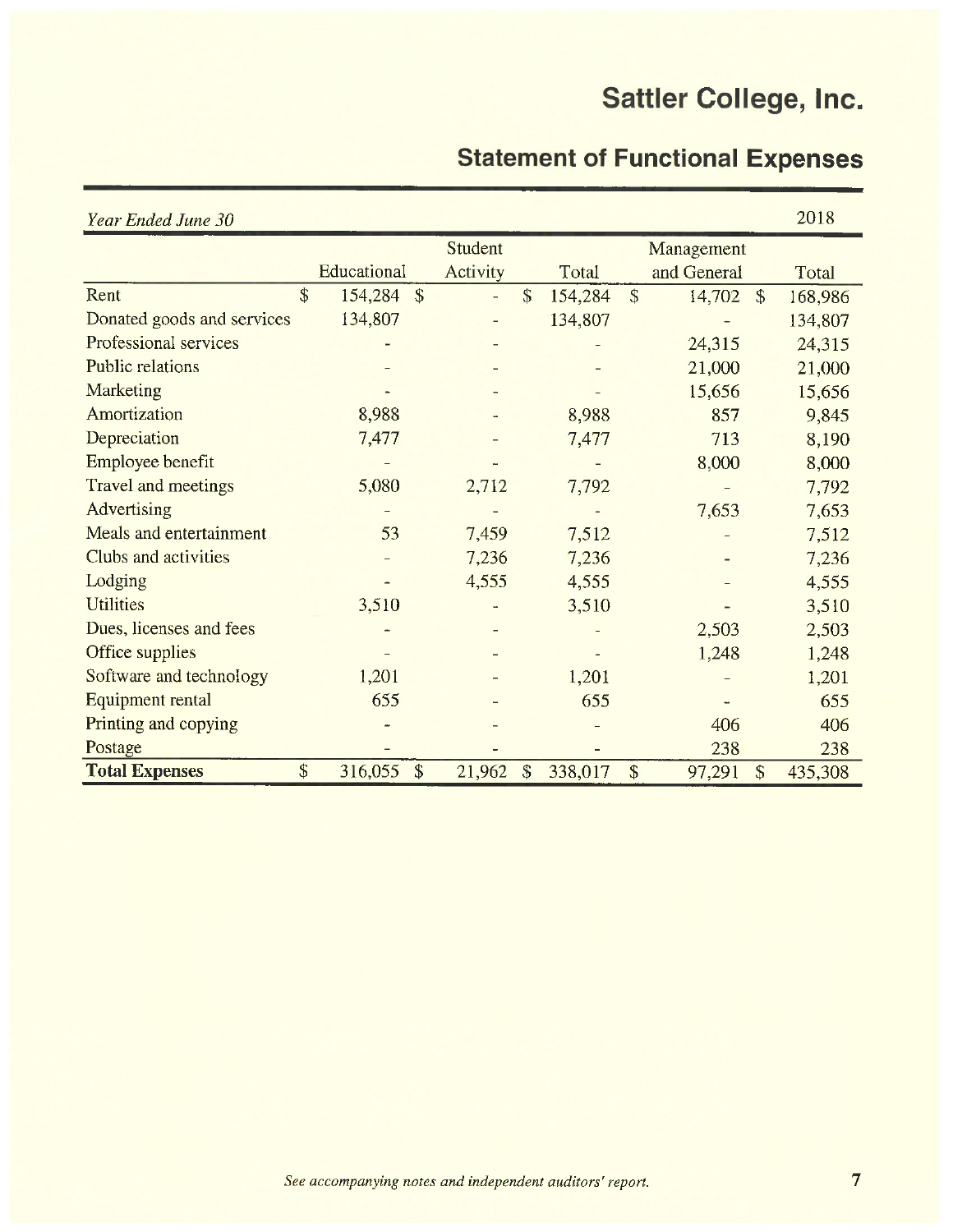| Year Ended June 30          |               |             |                                |               |         |              |             |              | 2018    |
|-----------------------------|---------------|-------------|--------------------------------|---------------|---------|--------------|-------------|--------------|---------|
|                             |               |             | Student                        |               |         |              | Management  |              |         |
|                             |               | Educational | Activity                       |               | Total   |              | and General |              | Total   |
| Rent                        | $\mathcal{S}$ | 154,284     | \$<br>$\overline{\phantom{m}}$ | \$            | 154,284 | $\mathbb{S}$ | 14,702      | $\mathbb{S}$ | 168,986 |
| Donated goods and services  |               | 134,807     |                                |               | 134,807 |              |             |              | 134,807 |
| Professional services       |               |             |                                |               |         |              | 24,315      |              | 24,315  |
| <b>Public relations</b>     |               |             |                                |               |         |              | 21,000      |              | 21,000  |
| Marketing                   |               |             |                                |               |         |              | 15,656      |              | 15,656  |
| Amortization                |               | 8,988       |                                |               | 8,988   |              | 857         |              | 9,845   |
| Depreciation                |               | 7,477       |                                |               | 7,477   |              | 713         |              | 8,190   |
| Employee benefit            |               |             |                                |               |         |              | 8,000       |              | 8,000   |
| <b>Travel and meetings</b>  |               | 5,080       | 2,712                          |               | 7,792   |              |             |              | 7,792   |
| Advertising                 |               |             |                                |               |         |              | 7,653       |              | 7,653   |
| Meals and entertainment     |               | 53          | 7,459                          |               | 7,512   |              |             |              | 7,512   |
| <b>Clubs and activities</b> |               |             | 7,236                          |               | 7,236   |              |             |              | 7,236   |
| Lodging                     |               |             | 4,555                          |               | 4,555   |              |             |              | 4,555   |
| <b>Utilities</b>            |               | 3,510       |                                |               | 3,510   |              |             |              | 3,510   |
| Dues, licenses and fees     |               |             |                                |               |         |              | 2,503       |              | 2,503   |
| Office supplies             |               |             |                                |               |         |              | 1,248       |              | 1,248   |
| Software and technology     |               | 1,201       |                                |               | 1,201   |              |             |              | 1,201   |
| Equipment rental            |               | 655         |                                |               | 655     |              |             |              | 655     |
| Printing and copying        |               |             |                                |               |         |              | 406         |              | 406     |
| Postage                     |               |             |                                |               |         |              | 238         |              | 238     |
| <b>Total Expenses</b>       | \$            | 316,055     | \$<br>21,962                   | $\mathcal{S}$ | 338,017 | \$           | 97,291      | \$           | 435,308 |